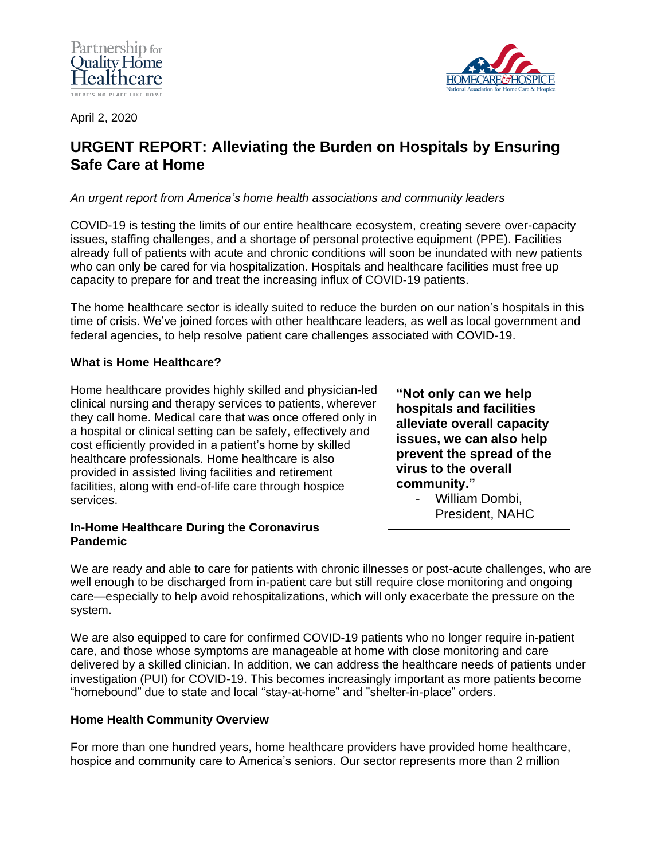



April 2, 2020

# **URGENT REPORT: Alleviating the Burden on Hospitals by Ensuring Safe Care at Home**

*An urgent report from America's home health associations and community leaders*

COVID-19 is testing the limits of our entire healthcare ecosystem, creating severe over-capacity issues, staffing challenges, and a shortage of personal protective equipment (PPE). Facilities already full of patients with acute and chronic conditions will soon be inundated with new patients who can only be cared for via hospitalization. Hospitals and healthcare facilities must free up capacity to prepare for and treat the increasing influx of COVID-19 patients.

The home healthcare sector is ideally suited to reduce the burden on our nation's hospitals in this time of crisis. We've joined forces with other healthcare leaders, as well as local government and federal agencies, to help resolve patient care challenges associated with COVID-19.

## **What is Home Healthcare?**

Home healthcare provides highly skilled and physician-led clinical nursing and therapy services to patients, wherever they call home. Medical care that was once offered only in a hospital or clinical setting can be safely, effectively and cost efficiently provided in a patient's home by skilled healthcare professionals. Home healthcare is also provided in assisted living facilities and retirement facilities, along with end-of-life care through hospice services.

**In-Home Healthcare During the Coronavirus Pandemic**

**"Not only can we help hospitals and facilities alleviate overall capacity issues, we can also help prevent the spread of the virus to the overall community."**

> William Dombi. President, NAHC

We are ready and able to care for patients with chronic illnesses or post-acute challenges, who are well enough to be discharged from in-patient care but still require close monitoring and ongoing care—especially to help avoid rehospitalizations, which will only exacerbate the pressure on the system.

We are also equipped to care for confirmed COVID-19 patients who no longer require in-patient care, and those whose symptoms are manageable at home with close monitoring and care delivered by a skilled clinician. In addition, we can address the healthcare needs of patients under investigation (PUI) for COVID-19. This becomes increasingly important as more patients become "homebound" due to state and local "stay-at-home" and "shelter-in-place" orders.

## **Home Health Community Overview**

For more than one hundred years, home healthcare providers have provided home healthcare, hospice and community care to America's seniors. Our sector represents more than 2 million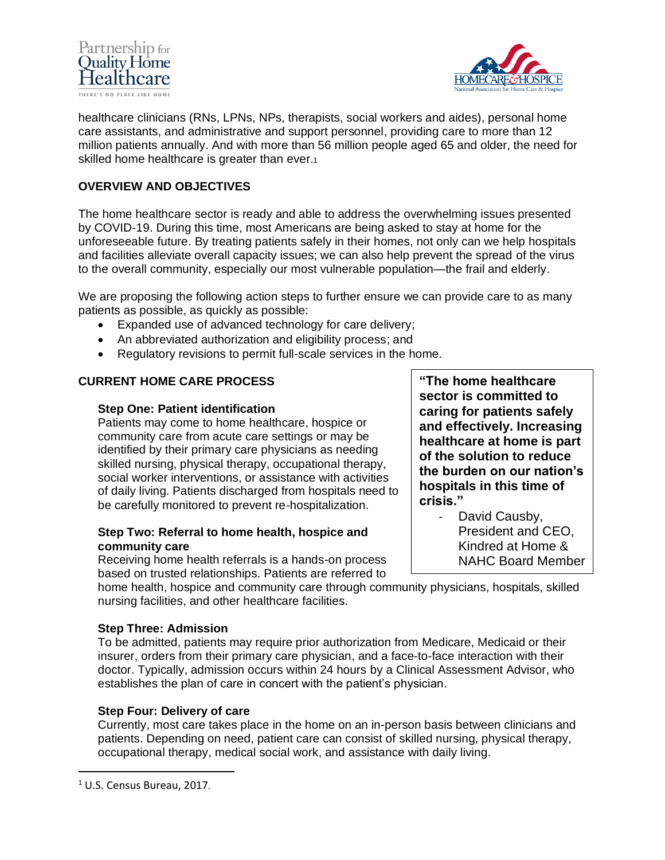



healthcare clinicians (RNs, LPNs, NPs, therapists, social workers and aides), personal home care assistants, and administrative and support personnel, providing care to more than 12 million patients annually. And with more than 56 million people aged 65 and older, the need for skilled home healthcare is greater than ever.1

## **OVERVIEW AND OBJECTIVES**

The home healthcare sector is ready and able to address the overwhelming issues presented by COVID-19. During this time, most Americans are being asked to stay at home for the unforeseeable future. By treating patients safely in their homes, not only can we help hospitals and facilities alleviate overall capacity issues; we can also help prevent the spread of the virus to the overall community, especially our most vulnerable population—the frail and elderly.

We are proposing the following action steps to further ensure we can provide care to as many patients as possible, as quickly as possible:

- Expanded use of advanced technology for care delivery;
- An abbreviated authorization and eligibility process; and
- Regulatory revisions to permit full-scale services in the home.

#### **CURRENT HOME CARE PROCESS**

#### **Step One: Patient identification**

Patients may come to home healthcare, hospice or community care from acute care settings or may be identified by their primary care physicians as needing skilled nursing, physical therapy, occupational therapy, social worker interventions, or assistance with activities of daily living. Patients discharged from hospitals need to be carefully monitored to prevent re-hospitalization.

## **Step Two: Referral to home health, hospice and community care**

Receiving home health referrals is a hands-on process based on trusted relationships. Patients are referred to

home health, hospice and community care through community physicians, hospitals, skilled nursing facilities, and other healthcare facilities.

#### **Step Three: Admission**

To be admitted, patients may require prior authorization from Medicare, Medicaid or their insurer, orders from their primary care physician, and a face-to-face interaction with their doctor. Typically, admission occurs within 24 hours by a Clinical Assessment Advisor, who establishes the plan of care in concert with the patient's physician.

#### **Step Four: Delivery of care**

Currently, most care takes place in the home on an in-person basis between clinicians and patients. Depending on need, patient care can consist of skilled nursing, physical therapy, occupational therapy, medical social work, and assistance with daily living.

**"The home healthcare sector is committed to caring for patients safely and effectively. Increasing healthcare at home is part of the solution to reduce the burden on our nation's hospitals in this time of crisis."**

David Causby, President and CEO, Kindred at Home & NAHC Board Member

<sup>1</sup> U.S. Census Bureau, 2017.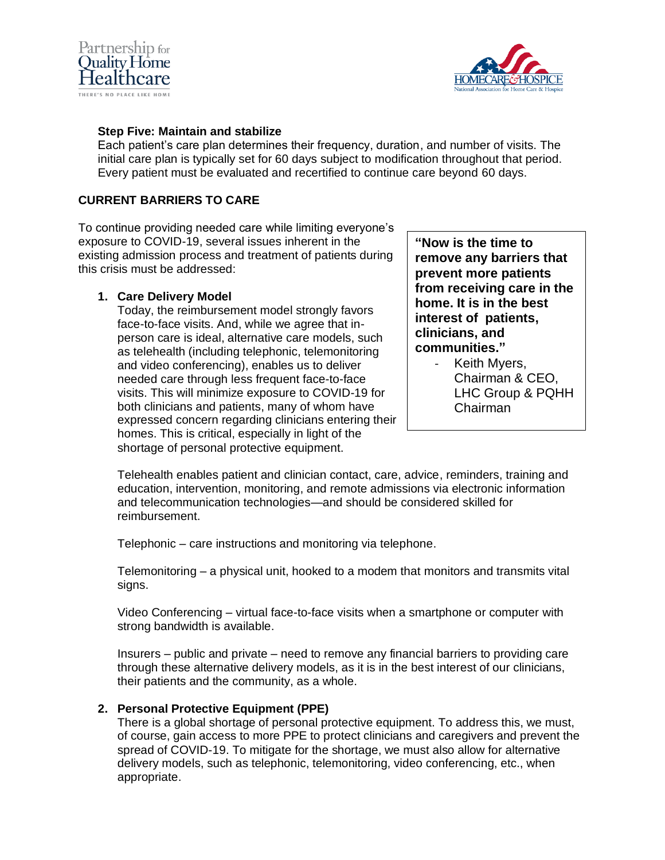



### **Step Five: Maintain and stabilize**

Each patient's care plan determines their frequency, duration, and number of visits. The initial care plan is typically set for 60 days subject to modification throughout that period. Every patient must be evaluated and recertified to continue care beyond 60 days.

## **CURRENT BARRIERS TO CARE**

To continue providing needed care while limiting everyone's exposure to COVID-19, several issues inherent in the existing admission process and treatment of patients during this crisis must be addressed:

#### **1. Care Delivery Model**

Today, the reimbursement model strongly favors face-to-face visits. And, while we agree that inperson care is ideal, alternative care models, such as telehealth (including telephonic, telemonitoring and video conferencing), enables us to deliver needed care through less frequent face-to-face visits. This will minimize exposure to COVID-19 for both clinicians and patients, many of whom have expressed concern regarding clinicians entering their homes. This is critical, especially in light of the shortage of personal protective equipment.

**"Now is the time to remove any barriers that prevent more patients from receiving care in the home. It is in the best interest of patients, clinicians, and communities."**

> - Keith Myers, Chairman & CEO, LHC Group & PQHH Chairman

Telehealth enables patient and clinician contact, care, advice, reminders, training and education, intervention, monitoring, and remote admissions via electronic information and telecommunication technologies—and should be considered skilled for reimbursement.

Telephonic – care instructions and monitoring via telephone.

Telemonitoring – a physical unit, hooked to a modem that monitors and transmits vital signs.

Video Conferencing – virtual face-to-face visits when a smartphone or computer with strong bandwidth is available.

Insurers – public and private – need to remove any financial barriers to providing care through these alternative delivery models, as it is in the best interest of our clinicians, their patients and the community, as a whole.

## **2. Personal Protective Equipment (PPE)**

There is a global shortage of personal protective equipment. To address this, we must, of course, gain access to more PPE to protect clinicians and caregivers and prevent the spread of COVID-19. To mitigate for the shortage, we must also allow for alternative delivery models, such as telephonic, telemonitoring, video conferencing, etc., when appropriate.